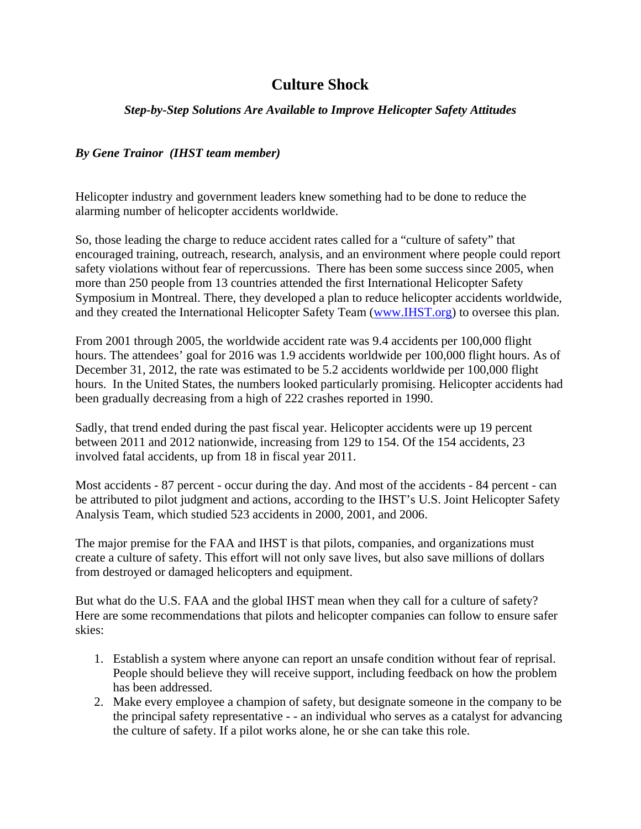## **Culture Shock**

## *Step-by-Step Solutions Are Available to Improve Helicopter Safety Attitudes*

## *By Gene Trainor (IHST team member)*

Helicopter industry and government leaders knew something had to be done to reduce the alarming number of helicopter accidents worldwide.

So, those leading the charge to reduce accident rates called for a "culture of safety" that encouraged training, outreach, research, analysis, and an environment where people could report safety violations without fear of repercussions. There has been some success since 2005, when more than 250 people from 13 countries attended the first International Helicopter Safety Symposium in Montreal. There, they developed a plan to reduce helicopter accidents worldwide, and they created the International Helicopter Safety Team (www.IHST.org) to oversee this plan.

From 2001 through 2005, the worldwide accident rate was 9.4 accidents per 100,000 flight hours. The attendees' goal for 2016 was 1.9 accidents worldwide per 100,000 flight hours. As of December 31, 2012, the rate was estimated to be 5.2 accidents worldwide per 100,000 flight hours. In the United States, the numbers looked particularly promising. Helicopter accidents had been gradually decreasing from a high of 222 crashes reported in 1990.

Sadly, that trend ended during the past fiscal year. Helicopter accidents were up 19 percent between 2011 and 2012 nationwide, increasing from 129 to 154. Of the 154 accidents, 23 involved fatal accidents, up from 18 in fiscal year 2011.

Most accidents - 87 percent - occur during the day. And most of the accidents - 84 percent - can be attributed to pilot judgment and actions, according to the IHST's U.S. Joint Helicopter Safety Analysis Team, which studied 523 accidents in 2000, 2001, and 2006.

The major premise for the FAA and IHST is that pilots, companies, and organizations must create a culture of safety. This effort will not only save lives, but also save millions of dollars from destroyed or damaged helicopters and equipment.

But what do the U.S. FAA and the global IHST mean when they call for a culture of safety? Here are some recommendations that pilots and helicopter companies can follow to ensure safer skies:

- 1. Establish a system where anyone can report an unsafe condition without fear of reprisal. People should believe they will receive support, including feedback on how the problem has been addressed.
- 2. Make every employee a champion of safety, but designate someone in the company to be the principal safety representative - - an individual who serves as a catalyst for advancing the culture of safety. If a pilot works alone, he or she can take this role.